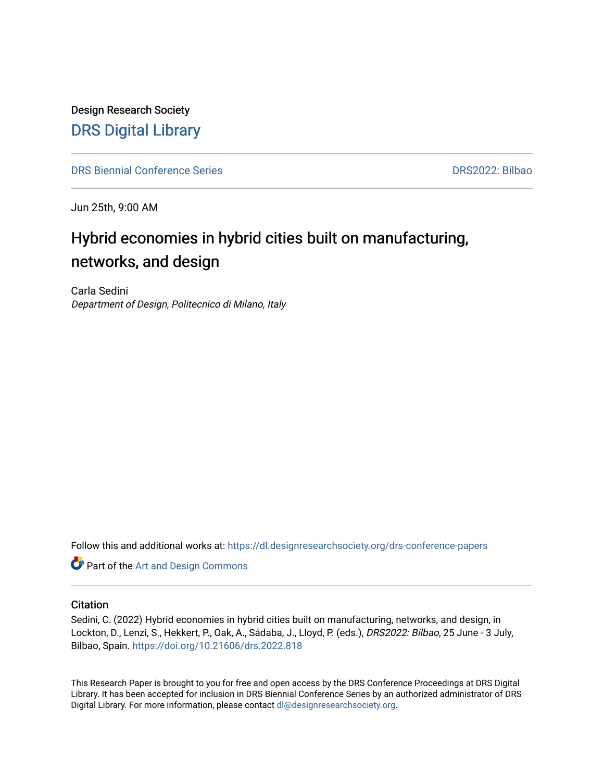Design Research Society [DRS Digital Library](https://dl.designresearchsociety.org/)

[DRS Biennial Conference Series](https://dl.designresearchsociety.org/drs-conference-papers) [DRS2022: Bilbao](https://dl.designresearchsociety.org/drs-conference-papers/drs2022) 

Jun 25th, 9:00 AM

# Hybrid economies in hybrid cities built on manufacturing, networks, and design

Carla Sedini Department of Design, Politecnico di Milano, Italy

Follow this and additional works at: [https://dl.designresearchsociety.org/drs-conference-papers](https://dl.designresearchsociety.org/drs-conference-papers?utm_source=dl.designresearchsociety.org%2Fdrs-conference-papers%2Fdrs2022%2Fresearchpapers%2F314&utm_medium=PDF&utm_campaign=PDFCoverPages) 

**Part of the [Art and Design Commons](https://network.bepress.com/hgg/discipline/1049?utm_source=dl.designresearchsociety.org%2Fdrs-conference-papers%2Fdrs2022%2Fresearchpapers%2F314&utm_medium=PDF&utm_campaign=PDFCoverPages)** 

#### **Citation**

Sedini, C. (2022) Hybrid economies in hybrid cities built on manufacturing, networks, and design, in Lockton, D., Lenzi, S., Hekkert, P., Oak, A., Sádaba, J., Lloyd, P. (eds.), DRS2022: Bilbao, 25 June - 3 July, Bilbao, Spain.<https://doi.org/10.21606/drs.2022.818>

This Research Paper is brought to you for free and open access by the DRS Conference Proceedings at DRS Digital Library. It has been accepted for inclusion in DRS Biennial Conference Series by an authorized administrator of DRS Digital Library. For more information, please contact [dl@designresearchsociety.org](mailto:dl@designresearchsociety.org).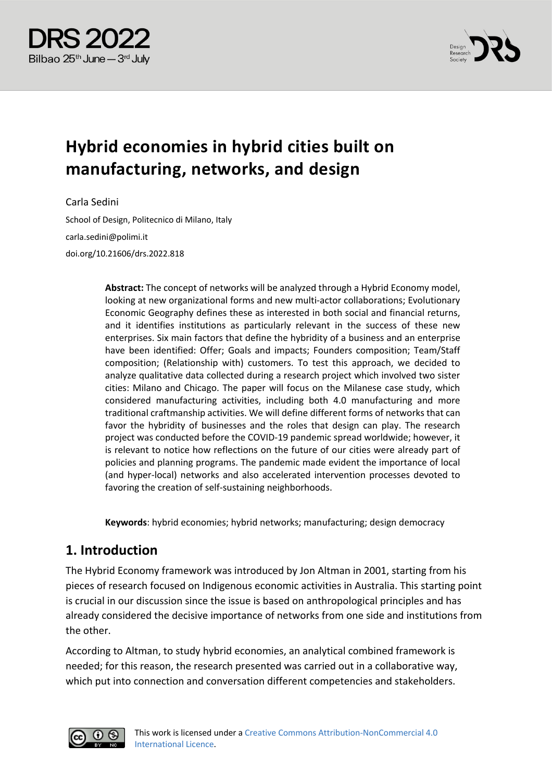



# **Hybrid economies in hybrid cities built on manufacturing, networks, and design**

Carla Sedini

School of Design, Politecnico di Milano, Italy carla.sedini@polimi.it doi.org/10.21606/drs.2022.818

> **Abstract:** The concept of networks will be analyzed through a Hybrid Economy model, looking at new organizational forms and new multi-actor collaborations; Evolutionary Economic Geography defines these as interested in both social and financial returns, and it identifies institutions as particularly relevant in the success of these new enterprises. Six main factors that define the hybridity of a business and an enterprise have been identified: Offer; Goals and impacts; Founders composition; Team/Staff composition; (Relationship with) customers. To test this approach, we decided to analyze qualitative data collected during a research project which involved two sister cities: Milano and Chicago. The paper will focus on the Milanese case study, which considered manufacturing activities, including both 4.0 manufacturing and more traditional craftmanship activities. We will define different forms of networks that can favor the hybridity of businesses and the roles that design can play. The research project was conducted before the COVID-19 pandemic spread worldwide; however, it is relevant to notice how reflections on the future of our cities were already part of policies and planning programs. The pandemic made evident the importance of local (and hyper-local) networks and also accelerated intervention processes devoted to favoring the creation of self-sustaining neighborhoods.

**Keywords**: hybrid economies; hybrid networks; manufacturing; design democracy

## **1. Introduction**

The Hybrid Economy framework was introduced by Jon Altman in 2001, starting from his pieces of research focused on Indigenous economic activities in Australia. This starting point is crucial in our discussion since the issue is based on anthropological principles and has already considered the decisive importance of networks from one side and institutions from the other.

According to Altman, to study hybrid economies, an analytical combined framework is needed; for this reason, the research presented was carried out in a collaborative way, which put into connection and conversation different competencies and stakeholders.

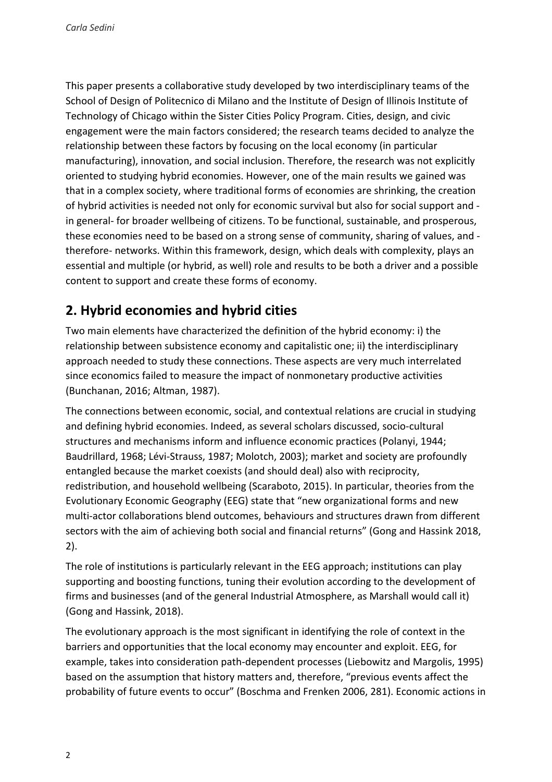This paper presents a collaborative study developed by two interdisciplinary teams of the School of Design of Politecnico di Milano and the Institute of Design of Illinois Institute of Technology of Chicago within the Sister Cities Policy Program. Cities, design, and civic engagement were the main factors considered; the research teams decided to analyze the relationship between these factors by focusing on the local economy (in particular manufacturing), innovation, and social inclusion. Therefore, the research was not explicitly oriented to studying hybrid economies. However, one of the main results we gained was that in a complex society, where traditional forms of economies are shrinking, the creation of hybrid activities is needed not only for economic survival but also for social support and in general- for broader wellbeing of citizens. To be functional, sustainable, and prosperous, these economies need to be based on a strong sense of community, sharing of values, and therefore- networks. Within this framework, design, which deals with complexity, plays an essential and multiple (or hybrid, as well) role and results to be both a driver and a possible content to support and create these forms of economy.

# **2. Hybrid economies and hybrid cities**

Two main elements have characterized the definition of the hybrid economy: i) the relationship between subsistence economy and capitalistic one; ii) the interdisciplinary approach needed to study these connections. These aspects are very much interrelated since economics failed to measure the impact of nonmonetary productive activities (Bunchanan, 2016; Altman, 1987).

The connections between economic, social, and contextual relations are crucial in studying and defining hybrid economies. Indeed, as several scholars discussed, socio-cultural structures and mechanisms inform and influence economic practices (Polanyi, 1944; Baudrillard, 1968; Lévi-Strauss, 1987; Molotch, 2003); market and society are profoundly entangled because the market coexists (and should deal) also with reciprocity, redistribution, and household wellbeing (Scaraboto, 2015). In particular, theories from the Evolutionary Economic Geography (EEG) state that "new organizational forms and new multi-actor collaborations blend outcomes, behaviours and structures drawn from different sectors with the aim of achieving both social and financial returns" (Gong and Hassink 2018, 2).

The role of institutions is particularly relevant in the EEG approach; institutions can play supporting and boosting functions, tuning their evolution according to the development of firms and businesses (and of the general Industrial Atmosphere, as Marshall would call it) (Gong and Hassink, 2018).

The evolutionary approach is the most significant in identifying the role of context in the barriers and opportunities that the local economy may encounter and exploit. EEG, for example, takes into consideration path-dependent processes (Liebowitz and Margolis, 1995) based on the assumption that history matters and, therefore, "previous events affect the probability of future events to occur" (Boschma and Frenken 2006, 281). Economic actions in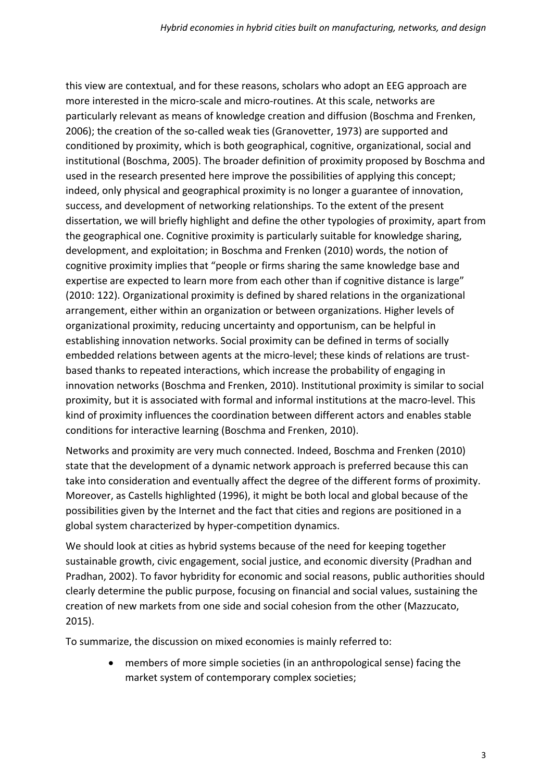this view are contextual, and for these reasons, scholars who adopt an EEG approach are more interested in the micro-scale and micro-routines. At this scale, networks are particularly relevant as means of knowledge creation and diffusion (Boschma and Frenken, 2006); the creation of the so-called weak ties (Granovetter, 1973) are supported and conditioned by proximity, which is both geographical, cognitive, organizational, social and institutional (Boschma, 2005). The broader definition of proximity proposed by Boschma and used in the research presented here improve the possibilities of applying this concept; indeed, only physical and geographical proximity is no longer a guarantee of innovation, success, and development of networking relationships. To the extent of the present dissertation, we will briefly highlight and define the other typologies of proximity, apart from the geographical one. Cognitive proximity is particularly suitable for knowledge sharing, development, and exploitation; in Boschma and Frenken (2010) words, the notion of cognitive proximity implies that "people or firms sharing the same knowledge base and expertise are expected to learn more from each other than if cognitive distance is large" (2010: 122). Organizational proximity is defined by shared relations in the organizational arrangement, either within an organization or between organizations. Higher levels of organizational proximity, reducing uncertainty and opportunism, can be helpful in establishing innovation networks. Social proximity can be defined in terms of socially embedded relations between agents at the micro-level; these kinds of relations are trustbased thanks to repeated interactions, which increase the probability of engaging in innovation networks (Boschma and Frenken, 2010). Institutional proximity is similar to social proximity, but it is associated with formal and informal institutions at the macro-level. This kind of proximity influences the coordination between different actors and enables stable conditions for interactive learning (Boschma and Frenken, 2010).

Networks and proximity are very much connected. Indeed, Boschma and Frenken (2010) state that the development of a dynamic network approach is preferred because this can take into consideration and eventually affect the degree of the different forms of proximity. Moreover, as Castells highlighted (1996), it might be both local and global because of the possibilities given by the Internet and the fact that cities and regions are positioned in a global system characterized by hyper-competition dynamics.

We should look at cities as hybrid systems because of the need for keeping together sustainable growth, civic engagement, social justice, and economic diversity (Pradhan and Pradhan, 2002). To favor hybridity for economic and social reasons, public authorities should clearly determine the public purpose, focusing on financial and social values, sustaining the creation of new markets from one side and social cohesion from the other (Mazzucato, 2015).

To summarize, the discussion on mixed economies is mainly referred to:

• members of more simple societies (in an anthropological sense) facing the market system of contemporary complex societies;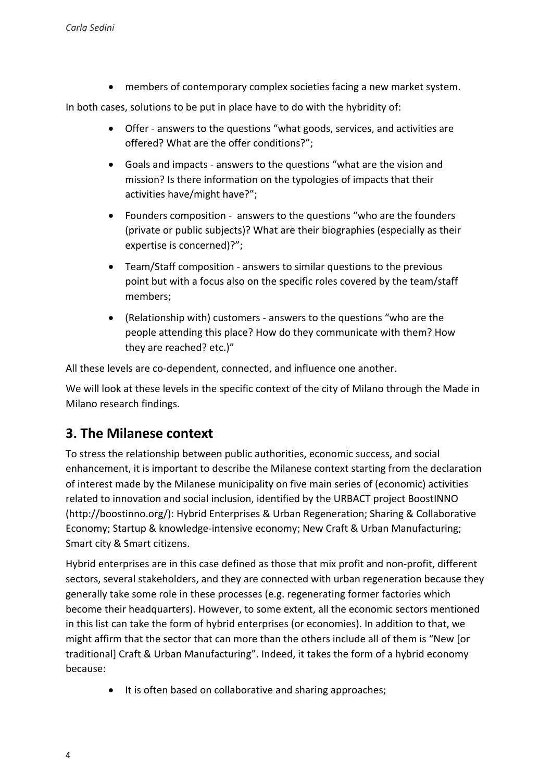members of contemporary complex societies facing a new market system.

In both cases, solutions to be put in place have to do with the hybridity of:

- Offer answers to the questions "what goods, services, and activities are offered? What are the offer conditions?";
- Goals and impacts answers to the questions "what are the vision and mission? Is there information on the typologies of impacts that their activities have/might have?";
- Founders composition answers to the questions "who are the founders (private or public subjects)? What are their biographies (especially as their expertise is concerned)?";
- Team/Staff composition answers to similar questions to the previous point but with a focus also on the specific roles covered by the team/staff members;
- (Relationship with) customers answers to the questions "who are the people attending this place? How do they communicate with them? How they are reached? etc.)"

All these levels are co-dependent, connected, and influence one another.

We will look at these levels in the specific context of the city of Milano through the Made in Milano research findings.

## **3. The Milanese context**

To stress the relationship between public authorities, economic success, and social enhancement, it is important to describe the Milanese context starting from the declaration of interest made by the Milanese municipality on five main series of (economic) activities related to innovation and social inclusion, identified by the URBACT project BoostINNO (http://boostinno.org/): Hybrid Enterprises & Urban Regeneration; Sharing & Collaborative Economy; Startup & knowledge-intensive economy; New Craft & Urban Manufacturing; Smart city & Smart citizens.

Hybrid enterprises are in this case defined as those that mix profit and non-profit, different sectors, several stakeholders, and they are connected with urban regeneration because they generally take some role in these processes (e.g. regenerating former factories which become their headquarters). However, to some extent, all the economic sectors mentioned in this list can take the form of hybrid enterprises (or economies). In addition to that, we might affirm that the sector that can more than the others include all of them is "New [or traditional] Craft & Urban Manufacturing". Indeed, it takes the form of a hybrid economy because:

• It is often based on collaborative and sharing approaches;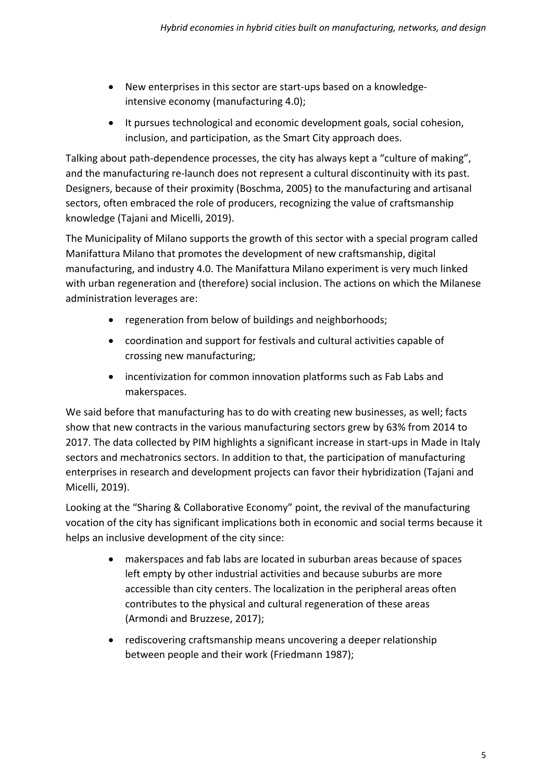- New enterprises in this sector are start-ups based on a knowledgeintensive economy (manufacturing 4.0);
- It pursues technological and economic development goals, social cohesion, inclusion, and participation, as the Smart City approach does.

Talking about path-dependence processes, the city has always kept a "culture of making", and the manufacturing re-launch does not represent a cultural discontinuity with its past. Designers, because of their proximity (Boschma, 2005) to the manufacturing and artisanal sectors, often embraced the role of producers, recognizing the value of craftsmanship knowledge (Tajani and Micelli, 2019).

The Municipality of Milano supports the growth of this sector with a special program called Manifattura Milano that promotes the development of new craftsmanship, digital manufacturing, and industry 4.0. The Manifattura Milano experiment is very much linked with urban regeneration and (therefore) social inclusion. The actions on which the Milanese administration leverages are:

- regeneration from below of buildings and neighborhoods;
- coordination and support for festivals and cultural activities capable of crossing new manufacturing;
- incentivization for common innovation platforms such as Fab Labs and makerspaces.

We said before that manufacturing has to do with creating new businesses, as well; facts show that new contracts in the various manufacturing sectors grew by 63% from 2014 to 2017. The data collected by PIM highlights a significant increase in start-ups in Made in Italy sectors and mechatronics sectors. In addition to that, the participation of manufacturing enterprises in research and development projects can favor their hybridization (Tajani and Micelli, 2019).

Looking at the "Sharing & Collaborative Economy" point, the revival of the manufacturing vocation of the city has significant implications both in economic and social terms because it helps an inclusive development of the city since:

- makerspaces and fab labs are located in suburban areas because of spaces left empty by other industrial activities and because suburbs are more accessible than city centers. The localization in the peripheral areas often contributes to the physical and cultural regeneration of these areas (Armondi and Bruzzese, 2017);
- rediscovering craftsmanship means uncovering a deeper relationship between people and their work (Friedmann 1987);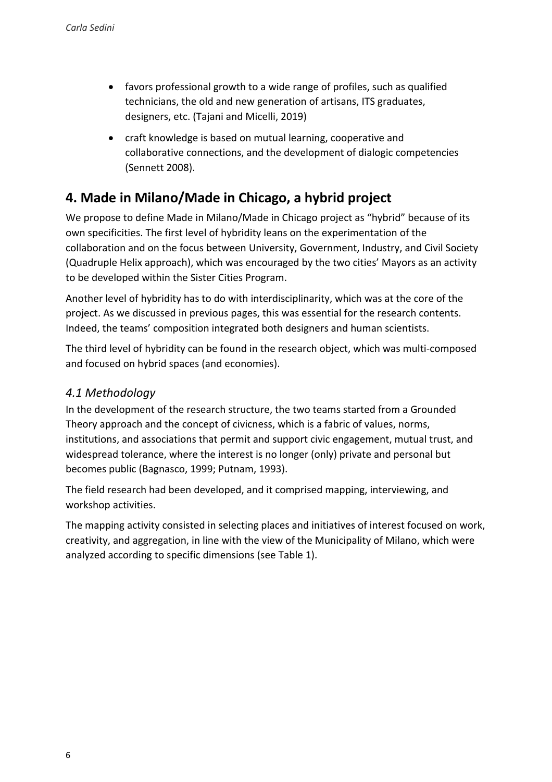- favors professional growth to a wide range of profiles, such as qualified technicians, the old and new generation of artisans, ITS graduates, designers, etc. (Tajani and Micelli, 2019)
- craft knowledge is based on mutual learning, cooperative and collaborative connections, and the development of dialogic competencies (Sennett 2008).

## **4. Made in Milano/Made in Chicago, a hybrid project**

We propose to define Made in Milano/Made in Chicago project as "hybrid" because of its own specificities. The first level of hybridity leans on the experimentation of the collaboration and on the focus between University, Government, Industry, and Civil Society (Quadruple Helix approach), which was encouraged by the two cities' Mayors as an activity to be developed within the Sister Cities Program.

Another level of hybridity has to do with interdisciplinarity, which was at the core of the project. As we discussed in previous pages, this was essential for the research contents. Indeed, the teams' composition integrated both designers and human scientists.

The third level of hybridity can be found in the research object, which was multi-composed and focused on hybrid spaces (and economies).

## *4.1 Methodology*

In the development of the research structure, the two teams started from a Grounded Theory approach and the concept of civicness, which is a fabric of values, norms, institutions, and associations that permit and support civic engagement, mutual trust, and widespread tolerance, where the interest is no longer (only) private and personal but becomes public (Bagnasco, 1999; Putnam, 1993).

The field research had been developed, and it comprised mapping, interviewing, and workshop activities.

The mapping activity consisted in selecting places and initiatives of interest focused on work, creativity, and aggregation, in line with the view of the Municipality of Milano, which were analyzed according to specific dimensions (see Table 1).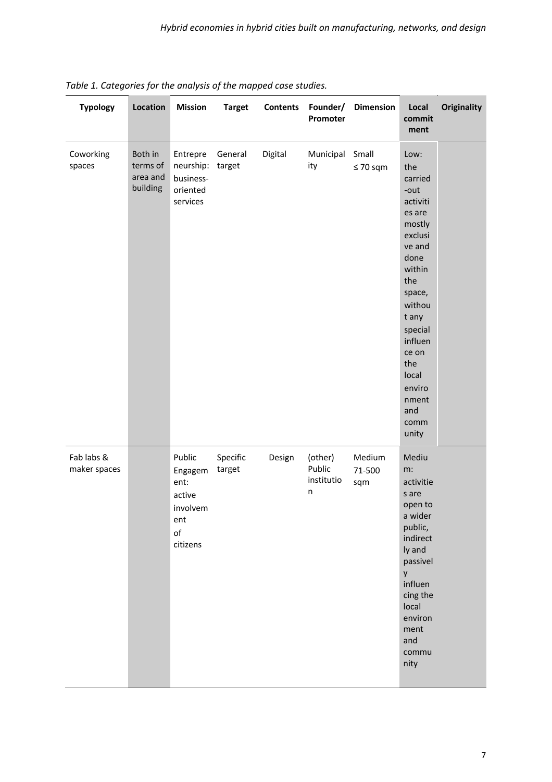| <b>Typology</b>            | Location                                    | <b>Mission</b>                                                                      | <b>Target</b>      | <b>Contents</b> | Founder/<br>Promoter                 | <b>Dimension</b>        | Local<br>commit<br>ment                                                                                                                                                                                                             | <b>Originality</b> |
|----------------------------|---------------------------------------------|-------------------------------------------------------------------------------------|--------------------|-----------------|--------------------------------------|-------------------------|-------------------------------------------------------------------------------------------------------------------------------------------------------------------------------------------------------------------------------------|--------------------|
| Coworking<br>spaces        | Both in<br>terms of<br>area and<br>building | Entrepre<br>neurship:<br>business-<br>oriented<br>services                          | General<br>target  | Digital         | Municipal<br>ity                     | Small<br>$\leq 70$ sqm  | Low:<br>the<br>carried<br>-out<br>activiti<br>es are<br>mostly<br>exclusi<br>ve and<br>done<br>within<br>the<br>space,<br>withou<br>t any<br>special<br>influen<br>ce on<br>the<br>local<br>enviro<br>nment<br>and<br>comm<br>unity |                    |
| Fab labs &<br>maker spaces |                                             | Public<br>Engagem<br>ent:<br>active<br>involvem<br>ent<br>$\mathsf{of}$<br>citizens | Specific<br>target | Design          | (other)<br>Public<br>institutio<br>n | Medium<br>71-500<br>sqm | Mediu<br>m:<br>activitie<br>s are<br>open to<br>a wider<br>public,<br>indirect<br>ly and<br>passivel<br>y<br>influen<br>cing the<br>local<br>environ<br>ment<br>and<br>commu<br>nity                                                |                    |

| Table 1. Categories for the analysis of the mapped case studies. |  |  |  |  |  |
|------------------------------------------------------------------|--|--|--|--|--|
|------------------------------------------------------------------|--|--|--|--|--|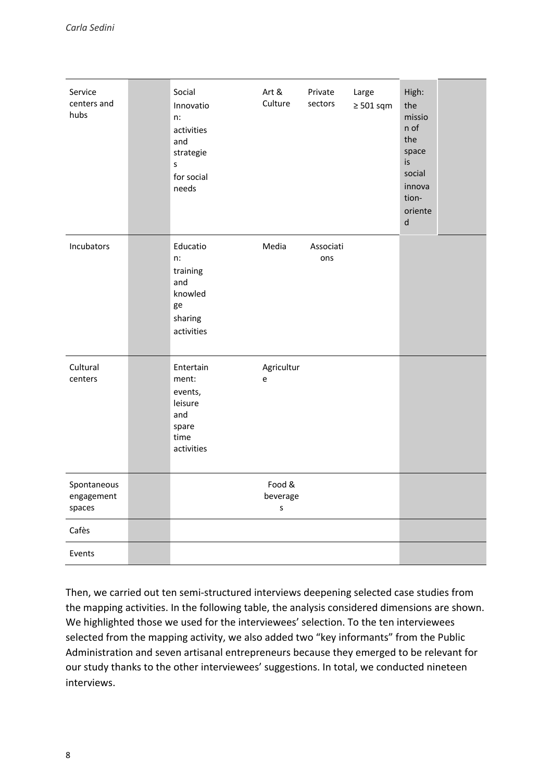| Service<br>centers and<br>hubs      | Social<br>Innovatio<br>$n$ :<br>activities<br>and<br>strategie<br>$\sf S$<br>for social<br>needs | Art &<br>Culture              | Private<br>sectors | Large<br>$\geq 501$ sqm | High:<br>the<br>missio<br>n of<br>the<br>space<br>is<br>social<br>innova<br>tion-<br>oriente<br>$\mathsf{d}$ |  |
|-------------------------------------|--------------------------------------------------------------------------------------------------|-------------------------------|--------------------|-------------------------|--------------------------------------------------------------------------------------------------------------|--|
| Incubators                          | Educatio<br>n:<br>training<br>and<br>knowled<br>ge<br>sharing<br>activities                      | Media                         | Associati<br>ons   |                         |                                                                                                              |  |
| Cultural<br>centers                 | Entertain<br>ment:<br>events,<br>leisure<br>and<br>spare<br>time<br>activities                   | Agricultur<br>e               |                    |                         |                                                                                                              |  |
| Spontaneous<br>engagement<br>spaces |                                                                                                  | Food &<br>beverage<br>$\sf S$ |                    |                         |                                                                                                              |  |
| Cafès                               |                                                                                                  |                               |                    |                         |                                                                                                              |  |
| Events                              |                                                                                                  |                               |                    |                         |                                                                                                              |  |

Then, we carried out ten semi-structured interviews deepening selected case studies from the mapping activities. In the following table, the analysis considered dimensions are shown. We highlighted those we used for the interviewees' selection. To the ten interviewees selected from the mapping activity, we also added two "key informants" from the Public Administration and seven artisanal entrepreneurs because they emerged to be relevant for our study thanks to the other interviewees' suggestions. In total, we conducted nineteen interviews.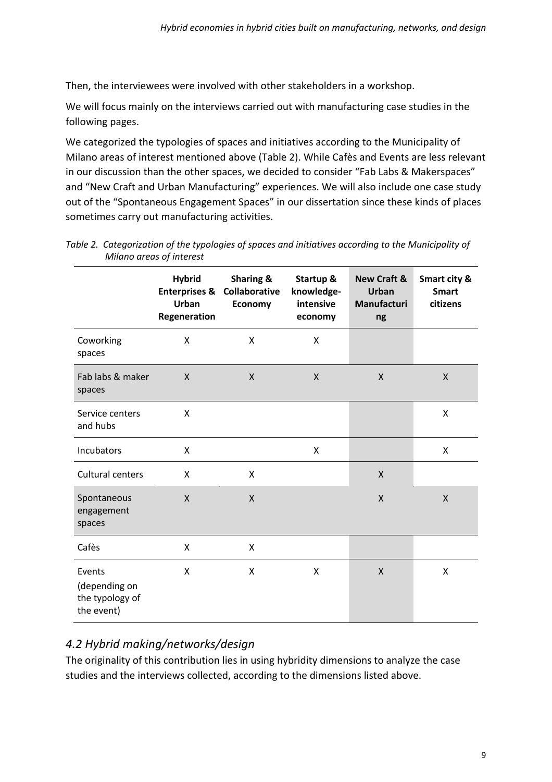Then, the interviewees were involved with other stakeholders in a workshop.

We will focus mainly on the interviews carried out with manufacturing case studies in the following pages.

We categorized the typologies of spaces and initiatives according to the Municipality of Milano areas of interest mentioned above (Table 2). While Cafès and Events are less relevant in our discussion than the other spaces, we decided to consider "Fab Labs & Makerspaces" and "New Craft and Urban Manufacturing" experiences. We will also include one case study out of the "Spontaneous Engagement Spaces" in our dissertation since these kinds of places sometimes carry out manufacturing activities.

|                                                          | <b>Hybrid</b><br><b>Enterprises &amp;</b><br>Urban<br>Regeneration | <b>Sharing &amp;</b><br>Collaborative<br>Economy | Startup &<br>knowledge-<br>intensive<br>economy | <b>New Craft &amp;</b><br><b>Urban</b><br>Manufacturi<br>ng | Smart city &<br><b>Smart</b><br>citizens |
|----------------------------------------------------------|--------------------------------------------------------------------|--------------------------------------------------|-------------------------------------------------|-------------------------------------------------------------|------------------------------------------|
| Coworking<br>spaces                                      | X                                                                  | X                                                | X                                               |                                                             |                                          |
| Fab labs & maker<br>spaces                               | $\mathsf{x}$                                                       | X                                                | $\mathsf{X}$                                    | $\mathsf{X}$                                                | $\mathsf{X}$                             |
| Service centers<br>and hubs                              | X                                                                  |                                                  |                                                 |                                                             | X                                        |
| Incubators                                               | X                                                                  |                                                  | X                                               |                                                             | X                                        |
| <b>Cultural centers</b>                                  | X                                                                  | X                                                |                                                 | X                                                           |                                          |
| Spontaneous<br>engagement<br>spaces                      | X                                                                  | X                                                |                                                 | X                                                           | $\mathsf{X}$                             |
| Cafès                                                    | X                                                                  | X                                                |                                                 |                                                             |                                          |
| Events<br>(depending on<br>the typology of<br>the event) | X                                                                  | Χ                                                | X                                               | $\mathsf{X}$                                                | X                                        |

*Table 2. Categorization of the typologies of spaces and initiatives according to the Municipality of Milano areas of interest*

## *4.2 Hybrid making/networks/design*

The originality of this contribution lies in using hybridity dimensions to analyze the case studies and the interviews collected, according to the dimensions listed above.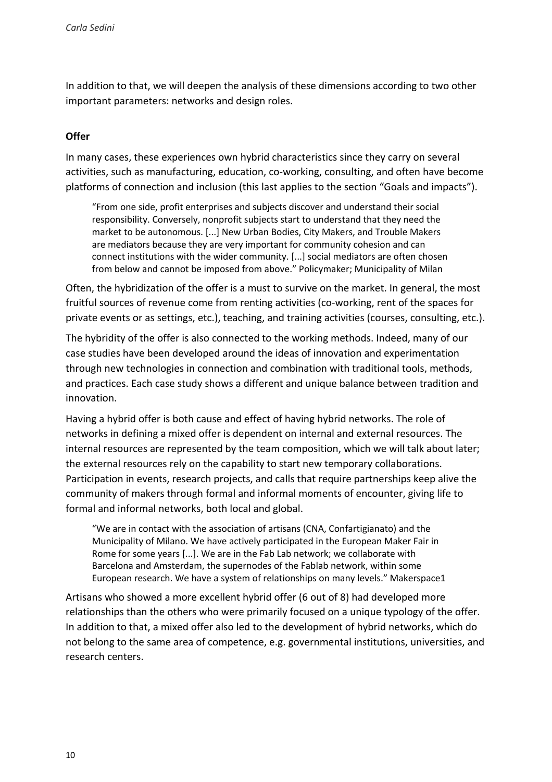In addition to that, we will deepen the analysis of these dimensions according to two other important parameters: networks and design roles.

#### **Offer**

In many cases, these experiences own hybrid characteristics since they carry on several activities, such as manufacturing, education, co-working, consulting, and often have become platforms of connection and inclusion (this last applies to the section "Goals and impacts").

"From one side, profit enterprises and subjects discover and understand their social responsibility. Conversely, nonprofit subjects start to understand that they need the market to be autonomous. [...] New Urban Bodies, City Makers, and Trouble Makers are mediators because they are very important for community cohesion and can connect institutions with the wider community. [...] social mediators are often chosen from below and cannot be imposed from above." Policymaker; Municipality of Milan

Often, the hybridization of the offer is a must to survive on the market. In general, the most fruitful sources of revenue come from renting activities (co-working, rent of the spaces for private events or as settings, etc.), teaching, and training activities (courses, consulting, etc.).

The hybridity of the offer is also connected to the working methods. Indeed, many of our case studies have been developed around the ideas of innovation and experimentation through new technologies in connection and combination with traditional tools, methods, and practices. Each case study shows a different and unique balance between tradition and innovation.

Having a hybrid offer is both cause and effect of having hybrid networks. The role of networks in defining a mixed offer is dependent on internal and external resources. The internal resources are represented by the team composition, which we will talk about later; the external resources rely on the capability to start new temporary collaborations. Participation in events, research projects, and calls that require partnerships keep alive the community of makers through formal and informal moments of encounter, giving life to formal and informal networks, both local and global.

"We are in contact with the association of artisans (CNA, Confartigianato) and the Municipality of Milano. We have actively participated in the European Maker Fair in Rome for some years [...]. We are in the Fab Lab network; we collaborate with Barcelona and Amsterdam, the supernodes of the Fablab network, within some European research. We have a system of relationships on many levels." Makerspace1

Artisans who showed a more excellent hybrid offer (6 out of 8) had developed more relationships than the others who were primarily focused on a unique typology of the offer. In addition to that, a mixed offer also led to the development of hybrid networks, which do not belong to the same area of competence, e.g. governmental institutions, universities, and research centers.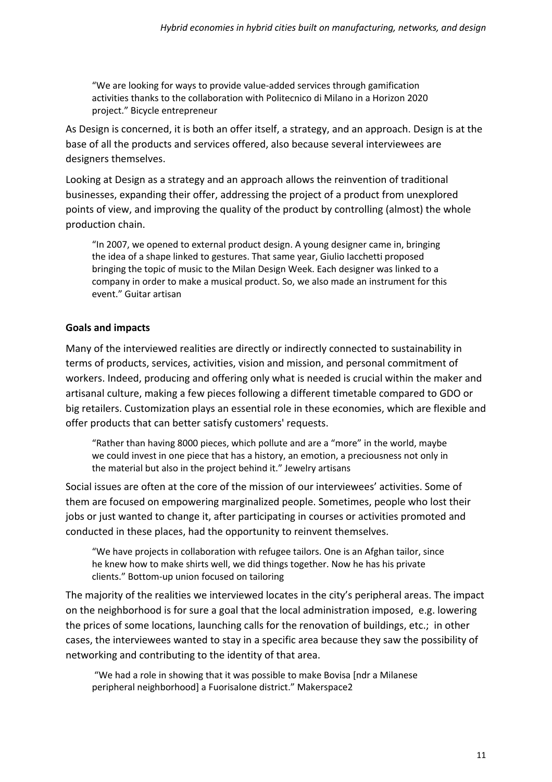"We are looking for ways to provide value-added services through gamification activities thanks to the collaboration with Politecnico di Milano in a Horizon 2020 project." Bicycle entrepreneur

As Design is concerned, it is both an offer itself, a strategy, and an approach. Design is at the base of all the products and services offered, also because several interviewees are designers themselves.

Looking at Design as a strategy and an approach allows the reinvention of traditional businesses, expanding their offer, addressing the project of a product from unexplored points of view, and improving the quality of the product by controlling (almost) the whole production chain.

"In 2007, we opened to external product design. A young designer came in, bringing the idea of a shape linked to gestures. That same year, Giulio Iacchetti proposed bringing the topic of music to the Milan Design Week. Each designer was linked to a company in order to make a musical product. So, we also made an instrument for this event." Guitar artisan

## **Goals and impacts**

Many of the interviewed realities are directly or indirectly connected to sustainability in terms of products, services, activities, vision and mission, and personal commitment of workers. Indeed, producing and offering only what is needed is crucial within the maker and artisanal culture, making a few pieces following a different timetable compared to GDO or big retailers. Customization plays an essential role in these economies, which are flexible and offer products that can better satisfy customers' requests.

"Rather than having 8000 pieces, which pollute and are a "more" in the world, maybe we could invest in one piece that has a history, an emotion, a preciousness not only in the material but also in the project behind it." Jewelry artisans

Social issues are often at the core of the mission of our interviewees' activities. Some of them are focused on empowering marginalized people. Sometimes, people who lost their jobs or just wanted to change it, after participating in courses or activities promoted and conducted in these places, had the opportunity to reinvent themselves.

"We have projects in collaboration with refugee tailors. One is an Afghan tailor, since he knew how to make shirts well, we did things together. Now he has his private clients." Bottom-up union focused on tailoring

The majority of the realities we interviewed locates in the city's peripheral areas. The impact on the neighborhood is for sure a goal that the local administration imposed, e.g. lowering the prices of some locations, launching calls for the renovation of buildings, etc.; in other cases, the interviewees wanted to stay in a specific area because they saw the possibility of networking and contributing to the identity of that area.

"We had a role in showing that it was possible to make Bovisa [ndr a Milanese peripheral neighborhood] a Fuorisalone district." Makerspace2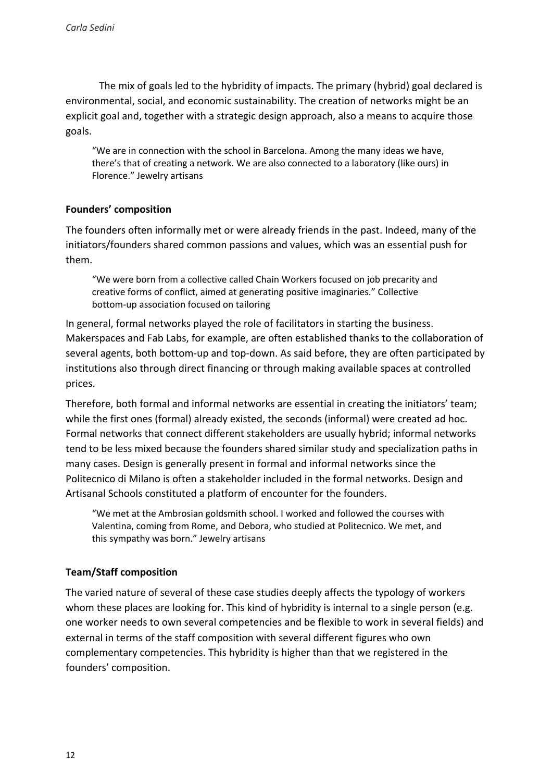The mix of goals led to the hybridity of impacts. The primary (hybrid) goal declared is environmental, social, and economic sustainability. The creation of networks might be an explicit goal and, together with a strategic design approach, also a means to acquire those goals.

"We are in connection with the school in Barcelona. Among the many ideas we have, there's that of creating a network. We are also connected to a laboratory (like ours) in Florence." Jewelry artisans

#### **Founders' composition**

The founders often informally met or were already friends in the past. Indeed, many of the initiators/founders shared common passions and values, which was an essential push for them.

"We were born from a collective called Chain Workers focused on job precarity and creative forms of conflict, aimed at generating positive imaginaries." Collective bottom-up association focused on tailoring

In general, formal networks played the role of facilitators in starting the business. Makerspaces and Fab Labs, for example, are often established thanks to the collaboration of several agents, both bottom-up and top-down. As said before, they are often participated by institutions also through direct financing or through making available spaces at controlled prices.

Therefore, both formal and informal networks are essential in creating the initiators' team; while the first ones (formal) already existed, the seconds (informal) were created ad hoc. Formal networks that connect different stakeholders are usually hybrid; informal networks tend to be less mixed because the founders shared similar study and specialization paths in many cases. Design is generally present in formal and informal networks since the Politecnico di Milano is often a stakeholder included in the formal networks. Design and Artisanal Schools constituted a platform of encounter for the founders.

"We met at the Ambrosian goldsmith school. I worked and followed the courses with Valentina, coming from Rome, and Debora, who studied at Politecnico. We met, and this sympathy was born." Jewelry artisans

## **Team/Staff composition**

The varied nature of several of these case studies deeply affects the typology of workers whom these places are looking for. This kind of hybridity is internal to a single person (e.g. one worker needs to own several competencies and be flexible to work in several fields) and external in terms of the staff composition with several different figures who own complementary competencies. This hybridity is higher than that we registered in the founders' composition.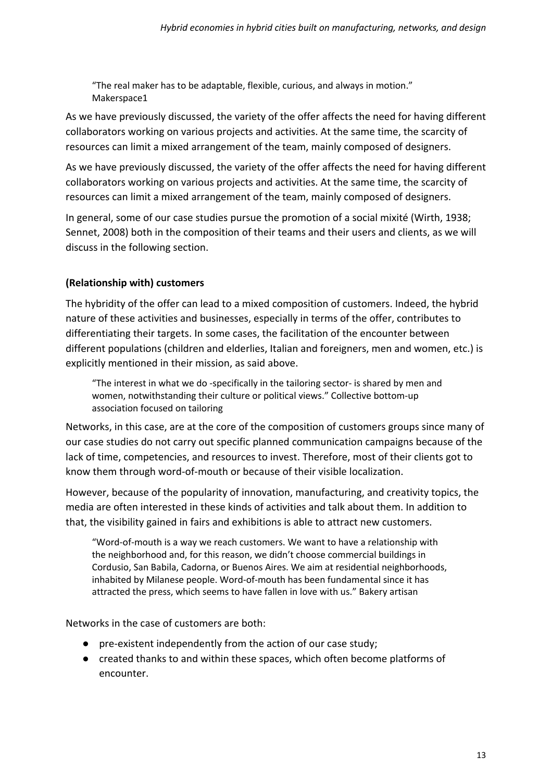"The real maker has to be adaptable, flexible, curious, and always in motion." Makerspace1

As we have previously discussed, the variety of the offer affects the need for having different collaborators working on various projects and activities. At the same time, the scarcity of resources can limit a mixed arrangement of the team, mainly composed of designers.

As we have previously discussed, the variety of the offer affects the need for having different collaborators working on various projects and activities. At the same time, the scarcity of resources can limit a mixed arrangement of the team, mainly composed of designers.

In general, some of our case studies pursue the promotion of a social mixité (Wirth, 1938; Sennet, 2008) both in the composition of their teams and their users and clients, as we will discuss in the following section.

## **(Relationship with) customers**

The hybridity of the offer can lead to a mixed composition of customers. Indeed, the hybrid nature of these activities and businesses, especially in terms of the offer, contributes to differentiating their targets. In some cases, the facilitation of the encounter between different populations (children and elderlies, Italian and foreigners, men and women, etc.) is explicitly mentioned in their mission, as said above.

"The interest in what we do -specifically in the tailoring sector- is shared by men and women, notwithstanding their culture or political views." Collective bottom-up association focused on tailoring

Networks, in this case, are at the core of the composition of customers groups since many of our case studies do not carry out specific planned communication campaigns because of the lack of time, competencies, and resources to invest. Therefore, most of their clients got to know them through word-of-mouth or because of their visible localization.

However, because of the popularity of innovation, manufacturing, and creativity topics, the media are often interested in these kinds of activities and talk about them. In addition to that, the visibility gained in fairs and exhibitions is able to attract new customers.

"Word-of-mouth is a way we reach customers. We want to have a relationship with the neighborhood and, for this reason, we didn't choose commercial buildings in Cordusio, San Babila, Cadorna, or Buenos Aires. We aim at residential neighborhoods, inhabited by Milanese people. Word-of-mouth has been fundamental since it has attracted the press, which seems to have fallen in love with us." Bakery artisan

Networks in the case of customers are both:

- pre-existent independently from the action of our case study;
- created thanks to and within these spaces, which often become platforms of encounter.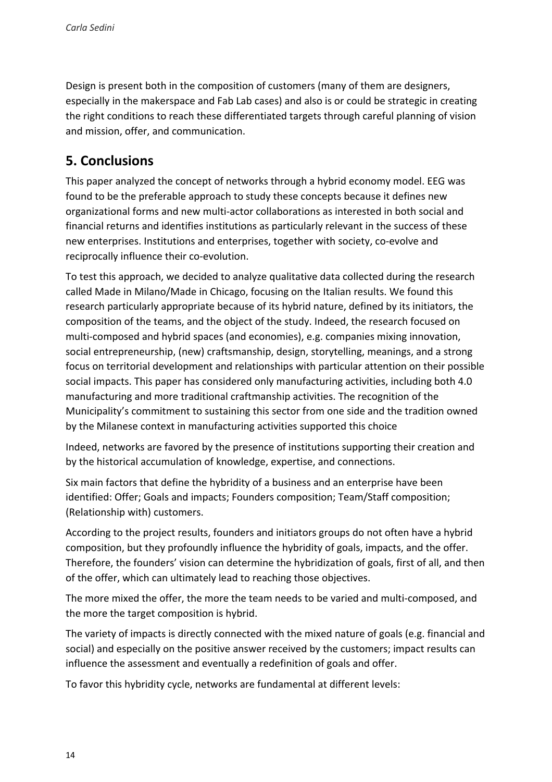Design is present both in the composition of customers (many of them are designers, especially in the makerspace and Fab Lab cases) and also is or could be strategic in creating the right conditions to reach these differentiated targets through careful planning of vision and mission, offer, and communication.

## **5. Conclusions**

This paper analyzed the concept of networks through a hybrid economy model. EEG was found to be the preferable approach to study these concepts because it defines new organizational forms and new multi-actor collaborations as interested in both social and financial returns and identifies institutions as particularly relevant in the success of these new enterprises. Institutions and enterprises, together with society, co-evolve and reciprocally influence their co-evolution.

To test this approach, we decided to analyze qualitative data collected during the research called Made in Milano/Made in Chicago, focusing on the Italian results. We found this research particularly appropriate because of its hybrid nature, defined by its initiators, the composition of the teams, and the object of the study. Indeed, the research focused on multi-composed and hybrid spaces (and economies), e.g. companies mixing innovation, social entrepreneurship, (new) craftsmanship, design, storytelling, meanings, and a strong focus on territorial development and relationships with particular attention on their possible social impacts. This paper has considered only manufacturing activities, including both 4.0 manufacturing and more traditional craftmanship activities. The recognition of the Municipality's commitment to sustaining this sector from one side and the tradition owned by the Milanese context in manufacturing activities supported this choice

Indeed, networks are favored by the presence of institutions supporting their creation and by the historical accumulation of knowledge, expertise, and connections.

Six main factors that define the hybridity of a business and an enterprise have been identified: Offer; Goals and impacts; Founders composition; Team/Staff composition; (Relationship with) customers.

According to the project results, founders and initiators groups do not often have a hybrid composition, but they profoundly influence the hybridity of goals, impacts, and the offer. Therefore, the founders' vision can determine the hybridization of goals, first of all, and then of the offer, which can ultimately lead to reaching those objectives.

The more mixed the offer, the more the team needs to be varied and multi-composed, and the more the target composition is hybrid.

The variety of impacts is directly connected with the mixed nature of goals (e.g. financial and social) and especially on the positive answer received by the customers; impact results can influence the assessment and eventually a redefinition of goals and offer.

To favor this hybridity cycle, networks are fundamental at different levels: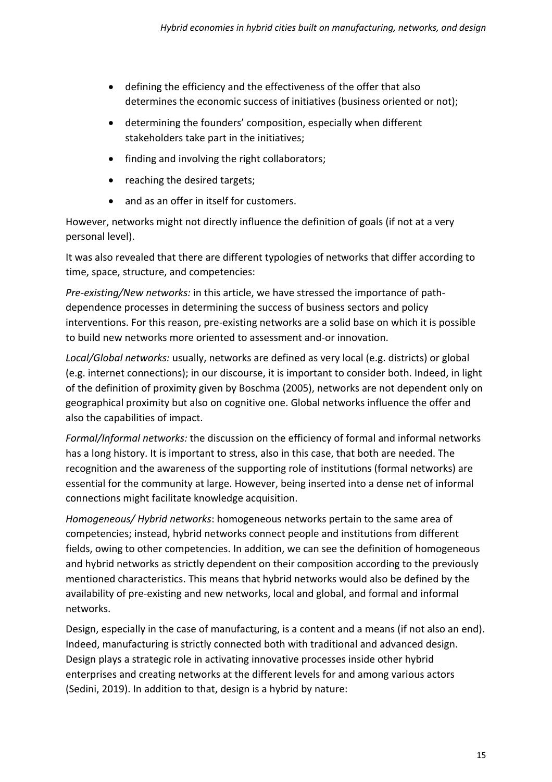- defining the efficiency and the effectiveness of the offer that also determines the economic success of initiatives (business oriented or not);
- determining the founders' composition, especially when different stakeholders take part in the initiatives;
- finding and involving the right collaborators:
- reaching the desired targets;
- and as an offer in itself for customers.

However, networks might not directly influence the definition of goals (if not at a very personal level).

It was also revealed that there are different typologies of networks that differ according to time, space, structure, and competencies:

*Pre-existing/New networks:* in this article, we have stressed the importance of pathdependence processes in determining the success of business sectors and policy interventions. For this reason, pre-existing networks are a solid base on which it is possible to build new networks more oriented to assessment and-or innovation.

*Local/Global networks:* usually, networks are defined as very local (e.g. districts) or global (e.g. internet connections); in our discourse, it is important to consider both. Indeed, in light of the definition of proximity given by Boschma (2005), networks are not dependent only on geographical proximity but also on cognitive one. Global networks influence the offer and also the capabilities of impact.

*Formal/Informal networks:* the discussion on the efficiency of formal and informal networks has a long history. It is important to stress, also in this case, that both are needed. The recognition and the awareness of the supporting role of institutions (formal networks) are essential for the community at large. However, being inserted into a dense net of informal connections might facilitate knowledge acquisition.

*Homogeneous/ Hybrid networks*: homogeneous networks pertain to the same area of competencies; instead, hybrid networks connect people and institutions from different fields, owing to other competencies. In addition, we can see the definition of homogeneous and hybrid networks as strictly dependent on their composition according to the previously mentioned characteristics. This means that hybrid networks would also be defined by the availability of pre-existing and new networks, local and global, and formal and informal networks.

Design, especially in the case of manufacturing, is a content and a means (if not also an end). Indeed, manufacturing is strictly connected both with traditional and advanced design. Design plays a strategic role in activating innovative processes inside other hybrid enterprises and creating networks at the different levels for and among various actors (Sedini, 2019). In addition to that, design is a hybrid by nature: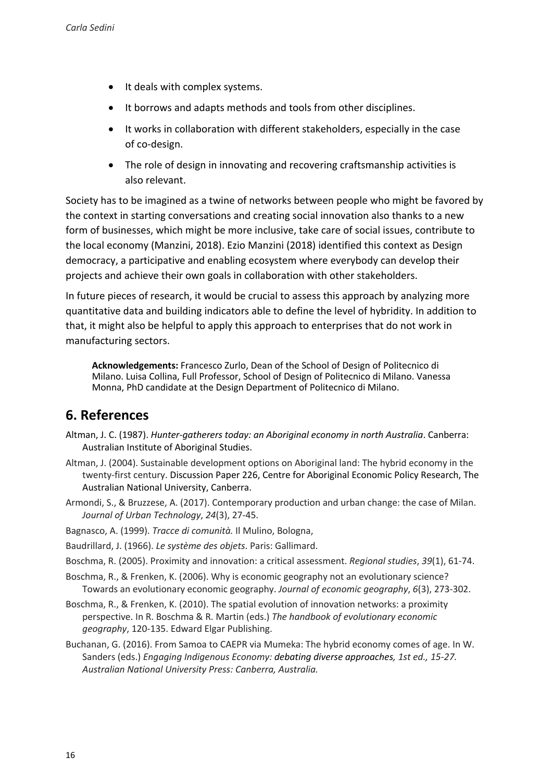- It deals with complex systems.
- It borrows and adapts methods and tools from other disciplines.
- It works in collaboration with different stakeholders, especially in the case of co-design.
- The role of design in innovating and recovering craftsmanship activities is also relevant.

Society has to be imagined as a twine of networks between people who might be favored by the context in starting conversations and creating social innovation also thanks to a new form of businesses, which might be more inclusive, take care of social issues, contribute to the local economy (Manzini, 2018). Ezio Manzini (2018) identified this context as Design democracy, a participative and enabling ecosystem where everybody can develop their projects and achieve their own goals in collaboration with other stakeholders.

In future pieces of research, it would be crucial to assess this approach by analyzing more quantitative data and building indicators able to define the level of hybridity. In addition to that, it might also be helpful to apply this approach to enterprises that do not work in manufacturing sectors.

**Acknowledgements:** Francesco Zurlo, Dean of the School of Design of Politecnico di Milano. Luisa Collina, Full Professor, School of Design of Politecnico di Milano. Vanessa Monna, PhD candidate at the Design Department of Politecnico di Milano.

## **6. References**

- Altman, J. C. (1987). *Hunter-gatherers today: an Aboriginal economy in north Australia*. Canberra: Australian Institute of Aboriginal Studies.
- Altman, J. (2004). Sustainable development options on Aboriginal land: The hybrid economy in the twenty-first century. Discussion Paper 226, Centre for Aboriginal Economic Policy Research, The Australian National University, Canberra.
- Armondi, S., & Bruzzese, A. (2017). Contemporary production and urban change: the case of Milan. *Journal of Urban Technology*, *24*(3), 27-45.
- Bagnasco, A. (1999). *Tracce di comunità.* Il Mulino, Bologna,
- Baudrillard, J. (1966). *Le système des objets*. Paris: Gallimard.
- Boschma, R. (2005). Proximity and innovation: a critical assessment. *Regional studies*, *39*(1), 61-74.
- Boschma, R., & Frenken, K. (2006). Why is economic geography not an evolutionary science? Towards an evolutionary economic geography. *Journal of economic geography*, *6*(3), 273-302.
- Boschma, R., & Frenken, K. (2010). The spatial evolution of innovation networks: a proximity perspective. In R. Boschma & R. Martin (eds.) *The handbook of evolutionary economic geography*, 120-135. Edward Elgar Publishing.
- Buchanan, G. (2016). From Samoa to CAEPR via Mumeka: The hybrid economy comes of age. In W. Sanders (eds.) *Engaging Indigenous Economy: debating diverse approaches, 1st ed., 15-27. Australian National University Press: Canberra, Australia.*